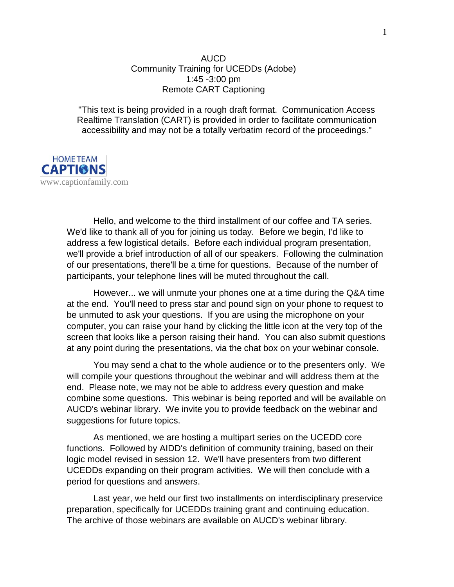## AUCD Community Training for UCEDDs (Adobe) 1:45 -3:00 pm Remote CART Captioning

"This text is being provided in a rough draft format. Communication Access Realtime Translation (CART) is provided in order to facilitate communication accessibility and may not be a totally verbatim record of the proceedings."



Hello, and welcome to the third installment of our coffee and TA series. We'd like to thank all of you for joining us today. Before we begin, I'd like to address a few logistical details. Before each individual program presentation, we'll provide a brief introduction of all of our speakers. Following the culmination of our presentations, there'll be a time for questions. Because of the number of participants, your telephone lines will be muted throughout the call.

However... we will unmute your phones one at a time during the Q&A time at the end. You'll need to press star and pound sign on your phone to request to be unmuted to ask your questions. If you are using the microphone on your computer, you can raise your hand by clicking the little icon at the very top of the screen that looks like a person raising their hand. You can also submit questions at any point during the presentations, via the chat box on your webinar console.

You may send a chat to the whole audience or to the presenters only. We will compile your questions throughout the webinar and will address them at the end. Please note, we may not be able to address every question and make combine some questions. This webinar is being reported and will be available on AUCD's webinar library. We invite you to provide feedback on the webinar and suggestions for future topics.

As mentioned, we are hosting a multipart series on the UCEDD core functions. Followed by AIDD's definition of community training, based on their logic model revised in session 12. We'll have presenters from two different UCEDDs expanding on their program activities. We will then conclude with a period for questions and answers.

Last year, we held our first two installments on interdisciplinary preservice preparation, specifically for UCEDDs training grant and continuing education. The archive of those webinars are available on AUCD's webinar library.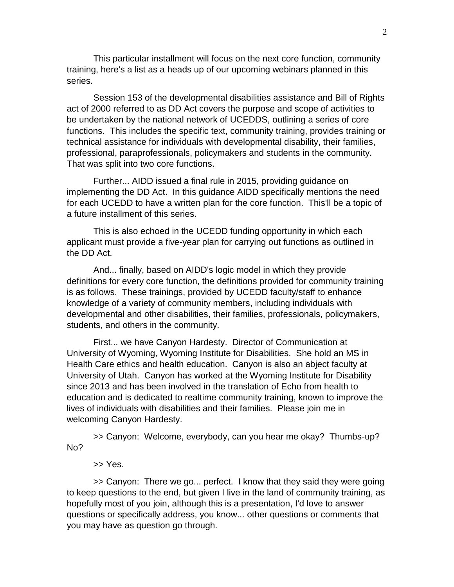This particular installment will focus on the next core function, community training, here's a list as a heads up of our upcoming webinars planned in this series.

Session 153 of the developmental disabilities assistance and Bill of Rights act of 2000 referred to as DD Act covers the purpose and scope of activities to be undertaken by the national network of UCEDDS, outlining a series of core functions. This includes the specific text, community training, provides training or technical assistance for individuals with developmental disability, their families, professional, paraprofessionals, policymakers and students in the community. That was split into two core functions.

Further... AIDD issued a final rule in 2015, providing guidance on implementing the DD Act. In this guidance AIDD specifically mentions the need for each UCEDD to have a written plan for the core function. This'll be a topic of a future installment of this series.

This is also echoed in the UCEDD funding opportunity in which each applicant must provide a five-year plan for carrying out functions as outlined in the DD Act.

And... finally, based on AIDD's logic model in which they provide definitions for every core function, the definitions provided for community training is as follows. These trainings, provided by UCEDD faculty/staff to enhance knowledge of a variety of community members, including individuals with developmental and other disabilities, their families, professionals, policymakers, students, and others in the community.

First... we have Canyon Hardesty. Director of Communication at University of Wyoming, Wyoming Institute for Disabilities. She hold an MS in Health Care ethics and health education. Canyon is also an abject faculty at University of Utah. Canyon has worked at the Wyoming Institute for Disability since 2013 and has been involved in the translation of Echo from health to education and is dedicated to realtime community training, known to improve the lives of individuals with disabilities and their families. Please join me in welcoming Canyon Hardesty.

>> Canyon: Welcome, everybody, can you hear me okay? Thumbs-up? No?

>> Yes.

>> Canyon: There we go... perfect. I know that they said they were going to keep questions to the end, but given I live in the land of community training, as hopefully most of you join, although this is a presentation, I'd love to answer questions or specifically address, you know... other questions or comments that you may have as question go through.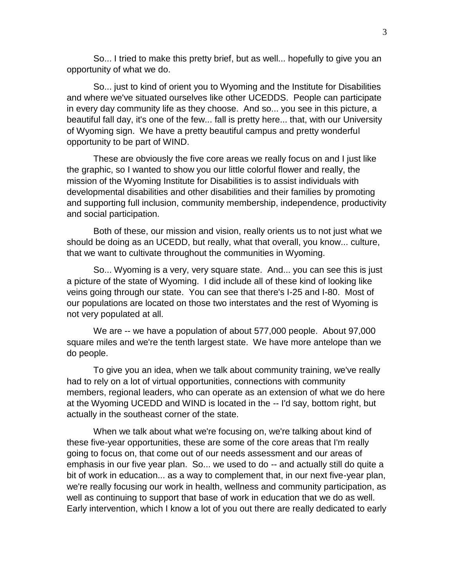So... I tried to make this pretty brief, but as well... hopefully to give you an opportunity of what we do.

So... just to kind of orient you to Wyoming and the Institute for Disabilities and where we've situated ourselves like other UCEDDS. People can participate in every day community life as they choose. And so... you see in this picture, a beautiful fall day, it's one of the few... fall is pretty here... that, with our University of Wyoming sign. We have a pretty beautiful campus and pretty wonderful opportunity to be part of WIND.

These are obviously the five core areas we really focus on and I just like the graphic, so I wanted to show you our little colorful flower and really, the mission of the Wyoming Institute for Disabilities is to assist individuals with developmental disabilities and other disabilities and their families by promoting and supporting full inclusion, community membership, independence, productivity and social participation.

Both of these, our mission and vision, really orients us to not just what we should be doing as an UCEDD, but really, what that overall, you know... culture, that we want to cultivate throughout the communities in Wyoming.

So... Wyoming is a very, very square state. And... you can see this is just a picture of the state of Wyoming. I did include all of these kind of looking like veins going through our state. You can see that there's I-25 and I-80. Most of our populations are located on those two interstates and the rest of Wyoming is not very populated at all.

We are -- we have a population of about 577,000 people. About 97,000 square miles and we're the tenth largest state. We have more antelope than we do people.

To give you an idea, when we talk about community training, we've really had to rely on a lot of virtual opportunities, connections with community members, regional leaders, who can operate as an extension of what we do here at the Wyoming UCEDD and WIND is located in the -- I'd say, bottom right, but actually in the southeast corner of the state.

When we talk about what we're focusing on, we're talking about kind of these five-year opportunities, these are some of the core areas that I'm really going to focus on, that come out of our needs assessment and our areas of emphasis in our five year plan. So... we used to do -- and actually still do quite a bit of work in education... as a way to complement that, in our next five-year plan, we're really focusing our work in health, wellness and community participation, as well as continuing to support that base of work in education that we do as well. Early intervention, which I know a lot of you out there are really dedicated to early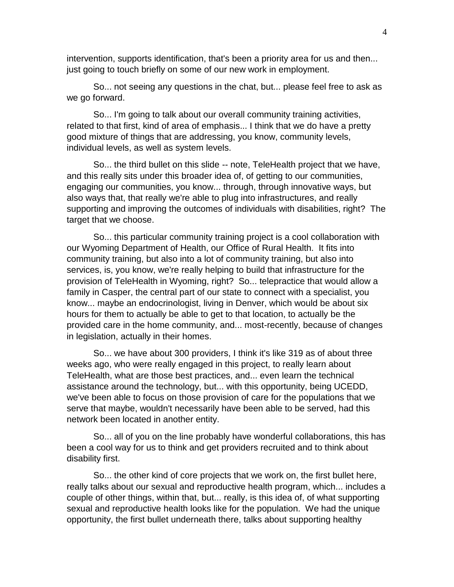intervention, supports identification, that's been a priority area for us and then... just going to touch briefly on some of our new work in employment.

So... not seeing any questions in the chat, but... please feel free to ask as we go forward.

So... I'm going to talk about our overall community training activities, related to that first, kind of area of emphasis... I think that we do have a pretty good mixture of things that are addressing, you know, community levels, individual levels, as well as system levels.

So... the third bullet on this slide -- note, TeleHealth project that we have, and this really sits under this broader idea of, of getting to our communities, engaging our communities, you know... through, through innovative ways, but also ways that, that really we're able to plug into infrastructures, and really supporting and improving the outcomes of individuals with disabilities, right? The target that we choose.

So... this particular community training project is a cool collaboration with our Wyoming Department of Health, our Office of Rural Health. It fits into community training, but also into a lot of community training, but also into services, is, you know, we're really helping to build that infrastructure for the provision of TeleHealth in Wyoming, right? So... telepractice that would allow a family in Casper, the central part of our state to connect with a specialist, you know... maybe an endocrinologist, living in Denver, which would be about six hours for them to actually be able to get to that location, to actually be the provided care in the home community, and... most-recently, because of changes in legislation, actually in their homes.

So... we have about 300 providers, I think it's like 319 as of about three weeks ago, who were really engaged in this project, to really learn about TeleHealth, what are those best practices, and... even learn the technical assistance around the technology, but... with this opportunity, being UCEDD, we've been able to focus on those provision of care for the populations that we serve that maybe, wouldn't necessarily have been able to be served, had this network been located in another entity.

So... all of you on the line probably have wonderful collaborations, this has been a cool way for us to think and get providers recruited and to think about disability first.

So... the other kind of core projects that we work on, the first bullet here, really talks about our sexual and reproductive health program, which... includes a couple of other things, within that, but... really, is this idea of, of what supporting sexual and reproductive health looks like for the population. We had the unique opportunity, the first bullet underneath there, talks about supporting healthy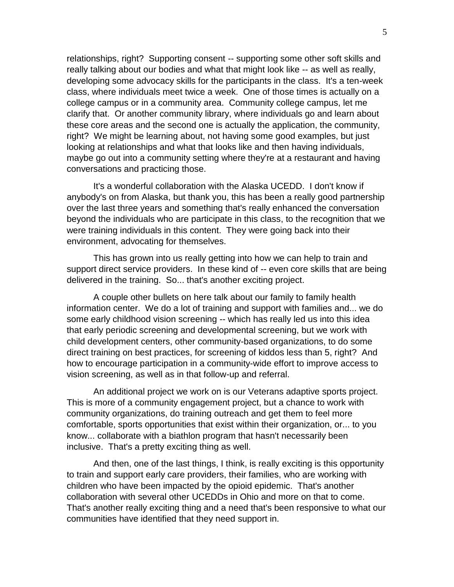relationships, right? Supporting consent -- supporting some other soft skills and really talking about our bodies and what that might look like -- as well as really, developing some advocacy skills for the participants in the class. It's a ten-week class, where individuals meet twice a week. One of those times is actually on a college campus or in a community area. Community college campus, let me clarify that. Or another community library, where individuals go and learn about these core areas and the second one is actually the application, the community, right? We might be learning about, not having some good examples, but just looking at relationships and what that looks like and then having individuals, maybe go out into a community setting where they're at a restaurant and having conversations and practicing those.

It's a wonderful collaboration with the Alaska UCEDD. I don't know if anybody's on from Alaska, but thank you, this has been a really good partnership over the last three years and something that's really enhanced the conversation beyond the individuals who are participate in this class, to the recognition that we were training individuals in this content. They were going back into their environment, advocating for themselves.

This has grown into us really getting into how we can help to train and support direct service providers. In these kind of -- even core skills that are being delivered in the training. So... that's another exciting project.

A couple other bullets on here talk about our family to family health information center. We do a lot of training and support with families and... we do some early childhood vision screening -- which has really led us into this idea that early periodic screening and developmental screening, but we work with child development centers, other community-based organizations, to do some direct training on best practices, for screening of kiddos less than 5, right? And how to encourage participation in a community-wide effort to improve access to vision screening, as well as in that follow-up and referral.

An additional project we work on is our Veterans adaptive sports project. This is more of a community engagement project, but a chance to work with community organizations, do training outreach and get them to feel more comfortable, sports opportunities that exist within their organization, or... to you know... collaborate with a biathlon program that hasn't necessarily been inclusive. That's a pretty exciting thing as well.

And then, one of the last things, I think, is really exciting is this opportunity to train and support early care providers, their families, who are working with children who have been impacted by the opioid epidemic. That's another collaboration with several other UCEDDs in Ohio and more on that to come. That's another really exciting thing and a need that's been responsive to what our communities have identified that they need support in.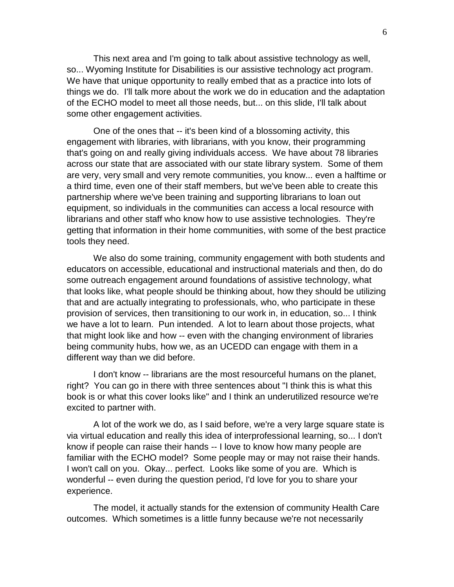This next area and I'm going to talk about assistive technology as well, so... Wyoming Institute for Disabilities is our assistive technology act program. We have that unique opportunity to really embed that as a practice into lots of things we do. I'll talk more about the work we do in education and the adaptation of the ECHO model to meet all those needs, but... on this slide, I'll talk about some other engagement activities.

One of the ones that -- it's been kind of a blossoming activity, this engagement with libraries, with librarians, with you know, their programming that's going on and really giving individuals access. We have about 78 libraries across our state that are associated with our state library system. Some of them are very, very small and very remote communities, you know... even a halftime or a third time, even one of their staff members, but we've been able to create this partnership where we've been training and supporting librarians to loan out equipment, so individuals in the communities can access a local resource with librarians and other staff who know how to use assistive technologies. They're getting that information in their home communities, with some of the best practice tools they need.

We also do some training, community engagement with both students and educators on accessible, educational and instructional materials and then, do do some outreach engagement around foundations of assistive technology, what that looks like, what people should be thinking about, how they should be utilizing that and are actually integrating to professionals, who, who participate in these provision of services, then transitioning to our work in, in education, so... I think we have a lot to learn. Pun intended. A lot to learn about those projects, what that might look like and how -- even with the changing environment of libraries being community hubs, how we, as an UCEDD can engage with them in a different way than we did before.

I don't know -- librarians are the most resourceful humans on the planet, right? You can go in there with three sentences about "I think this is what this book is or what this cover looks like" and I think an underutilized resource we're excited to partner with.

A lot of the work we do, as I said before, we're a very large square state is via virtual education and really this idea of interprofessional learning, so... I don't know if people can raise their hands -- I love to know how many people are familiar with the ECHO model? Some people may or may not raise their hands. I won't call on you. Okay... perfect. Looks like some of you are. Which is wonderful -- even during the question period, I'd love for you to share your experience.

The model, it actually stands for the extension of community Health Care outcomes. Which sometimes is a little funny because we're not necessarily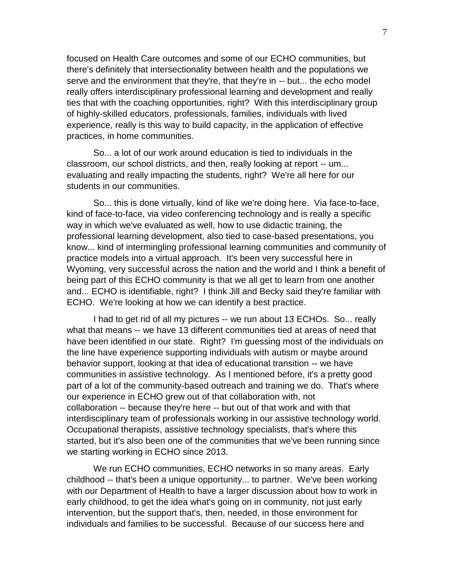focused on Health Care outcomes and some of our ECHO communities, but there's definitely that intersectionality between health and the populations we serve and the environment that they're, that they're in -- but... the echo model really offers interdisciplinary professional learning and development and really ties that with the coaching opportunities, right? With this interdisciplinary group of highly-skilled educators, professionals, families, individuals with lived experience, really is this way to build capacity, in the application of effective practices, in home communities.

So... a lot of our work around education is tied to individuals in the classroom, our school districts, and then, really looking at report -- um... evaluating and really impacting the students, right? We're all here for our students in our communities.

So... this is done virtually, kind of like we're doing here. Via face-to-face, kind of face-to-face, via video conferencing technology and is really a specific way in which we've evaluated as well, how to use didactic training, the professional learning development, also tied to case-based presentations, you know... kind of intermingling professional learning communities and community of practice models into a virtual approach. It's been very successful here in Wyoming, very successful across the nation and the world and I think a benefit of being part of this ECHO community is that we all get to learn from one another and... ECHO is identifiable, right? I think Jill and Becky said they're familiar with ECHO. We're looking at how we can identify a best practice.

I had to get rid of all my pictures -- we run about 13 ECHOs. So... really what that means -- we have 13 different communities tied at areas of need that have been identified in our state. Right? I'm guessing most of the individuals on the line have experience supporting individuals with autism or maybe around behavior support, looking at that idea of educational transition -- we have communities in assistive technology. As I mentioned before, it's a pretty good part of a lot of the community-based outreach and training we do. That's where our experience in ECHO grew out of that collaboration with, not collaboration -- because they're here -- but out of that work and with that interdisciplinary team of professionals working in our assistive technology world. Occupational therapists, assistive technology specialists, that's where this started, but it's also been one of the communities that we've been running since we starting working in ECHO since 2013.

We run ECHO communities, ECHO networks in so many areas. Early childhood -- that's been a unique opportunity... to partner. We've been working with our Department of Health to have a larger discussion about how to work in early childhood, to get the idea what's going on in community, not just early intervention, but the support that's, then, needed, in those environment for individuals and families to be successful. Because of our success here and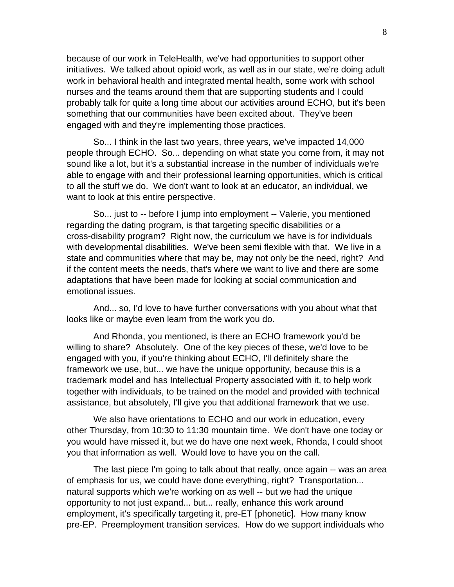because of our work in TeleHealth, we've had opportunities to support other initiatives. We talked about opioid work, as well as in our state, we're doing adult work in behavioral health and integrated mental health, some work with school nurses and the teams around them that are supporting students and I could probably talk for quite a long time about our activities around ECHO, but it's been something that our communities have been excited about. They've been engaged with and they're implementing those practices.

So... I think in the last two years, three years, we've impacted 14,000 people through ECHO. So... depending on what state you come from, it may not sound like a lot, but it's a substantial increase in the number of individuals we're able to engage with and their professional learning opportunities, which is critical to all the stuff we do. We don't want to look at an educator, an individual, we want to look at this entire perspective.

So... just to -- before I jump into employment -- Valerie, you mentioned regarding the dating program, is that targeting specific disabilities or a cross-disability program? Right now, the curriculum we have is for individuals with developmental disabilities. We've been semi flexible with that. We live in a state and communities where that may be, may not only be the need, right? And if the content meets the needs, that's where we want to live and there are some adaptations that have been made for looking at social communication and emotional issues.

And... so, I'd love to have further conversations with you about what that looks like or maybe even learn from the work you do.

And Rhonda, you mentioned, is there an ECHO framework you'd be willing to share? Absolutely. One of the key pieces of these, we'd love to be engaged with you, if you're thinking about ECHO, I'll definitely share the framework we use, but... we have the unique opportunity, because this is a trademark model and has Intellectual Property associated with it, to help work together with individuals, to be trained on the model and provided with technical assistance, but absolutely, I'll give you that additional framework that we use.

We also have orientations to ECHO and our work in education, every other Thursday, from 10:30 to 11:30 mountain time. We don't have one today or you would have missed it, but we do have one next week, Rhonda, I could shoot you that information as well. Would love to have you on the call.

The last piece I'm going to talk about that really, once again -- was an area of emphasis for us, we could have done everything, right? Transportation... natural supports which we're working on as well -- but we had the unique opportunity to not just expand... but... really, enhance this work around employment, it's specifically targeting it, pre-ET [phonetic]. How many know pre-EP. Preemployment transition services. How do we support individuals who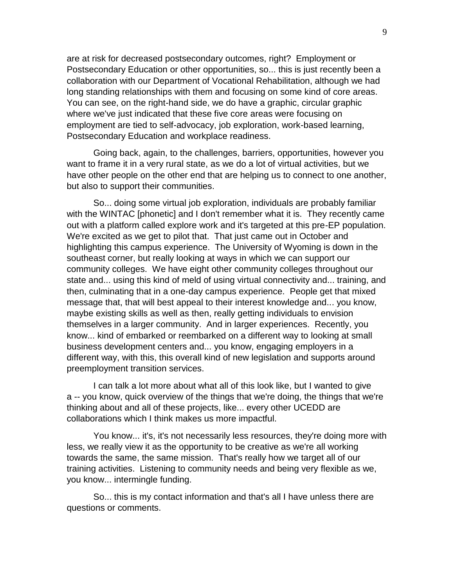are at risk for decreased postsecondary outcomes, right? Employment or Postsecondary Education or other opportunities, so... this is just recently been a collaboration with our Department of Vocational Rehabilitation, although we had long standing relationships with them and focusing on some kind of core areas. You can see, on the right-hand side, we do have a graphic, circular graphic where we've just indicated that these five core areas were focusing on employment are tied to self-advocacy, job exploration, work-based learning, Postsecondary Education and workplace readiness.

Going back, again, to the challenges, barriers, opportunities, however you want to frame it in a very rural state, as we do a lot of virtual activities, but we have other people on the other end that are helping us to connect to one another, but also to support their communities.

So... doing some virtual job exploration, individuals are probably familiar with the WINTAC [phonetic] and I don't remember what it is. They recently came out with a platform called explore work and it's targeted at this pre-EP population. We're excited as we get to pilot that. That just came out in October and highlighting this campus experience. The University of Wyoming is down in the southeast corner, but really looking at ways in which we can support our community colleges. We have eight other community colleges throughout our state and... using this kind of meld of using virtual connectivity and... training, and then, culminating that in a one-day campus experience. People get that mixed message that, that will best appeal to their interest knowledge and... you know, maybe existing skills as well as then, really getting individuals to envision themselves in a larger community. And in larger experiences. Recently, you know... kind of embarked or reembarked on a different way to looking at small business development centers and... you know, engaging employers in a different way, with this, this overall kind of new legislation and supports around preemployment transition services.

I can talk a lot more about what all of this look like, but I wanted to give a -- you know, quick overview of the things that we're doing, the things that we're thinking about and all of these projects, like... every other UCEDD are collaborations which I think makes us more impactful.

You know... it's, it's not necessarily less resources, they're doing more with less, we really view it as the opportunity to be creative as we're all working towards the same, the same mission. That's really how we target all of our training activities. Listening to community needs and being very flexible as we, you know... intermingle funding.

So... this is my contact information and that's all I have unless there are questions or comments.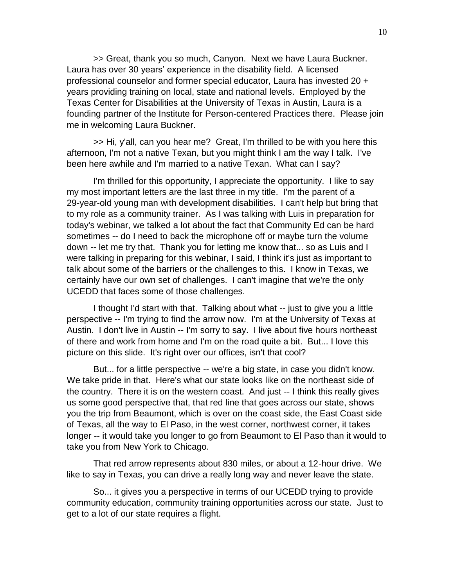>> Great, thank you so much, Canyon. Next we have Laura Buckner. Laura has over 30 years' experience in the disability field. A licensed professional counselor and former special educator, Laura has invested 20 + years providing training on local, state and national levels. Employed by the Texas Center for Disabilities at the University of Texas in Austin, Laura is a founding partner of the Institute for Person-centered Practices there. Please join me in welcoming Laura Buckner.

>> Hi, y'all, can you hear me? Great, I'm thrilled to be with you here this afternoon, I'm not a native Texan, but you might think I am the way I talk. I've been here awhile and I'm married to a native Texan. What can I say?

I'm thrilled for this opportunity, I appreciate the opportunity. I like to say my most important letters are the last three in my title. I'm the parent of a 29-year-old young man with development disabilities. I can't help but bring that to my role as a community trainer. As I was talking with Luis in preparation for today's webinar, we talked a lot about the fact that Community Ed can be hard sometimes -- do I need to back the microphone off or maybe turn the volume down -- let me try that. Thank you for letting me know that... so as Luis and I were talking in preparing for this webinar, I said, I think it's just as important to talk about some of the barriers or the challenges to this. I know in Texas, we certainly have our own set of challenges. I can't imagine that we're the only UCEDD that faces some of those challenges.

I thought I'd start with that. Talking about what -- just to give you a little perspective -- I'm trying to find the arrow now. I'm at the University of Texas at Austin. I don't live in Austin -- I'm sorry to say. I live about five hours northeast of there and work from home and I'm on the road quite a bit. But... I love this picture on this slide. It's right over our offices, isn't that cool?

But... for a little perspective -- we're a big state, in case you didn't know. We take pride in that. Here's what our state looks like on the northeast side of the country. There it is on the western coast. And just -- I think this really gives us some good perspective that, that red line that goes across our state, shows you the trip from Beaumont, which is over on the coast side, the East Coast side of Texas, all the way to El Paso, in the west corner, northwest corner, it takes longer -- it would take you longer to go from Beaumont to El Paso than it would to take you from New York to Chicago.

That red arrow represents about 830 miles, or about a 12-hour drive. We like to say in Texas, you can drive a really long way and never leave the state.

So... it gives you a perspective in terms of our UCEDD trying to provide community education, community training opportunities across our state. Just to get to a lot of our state requires a flight.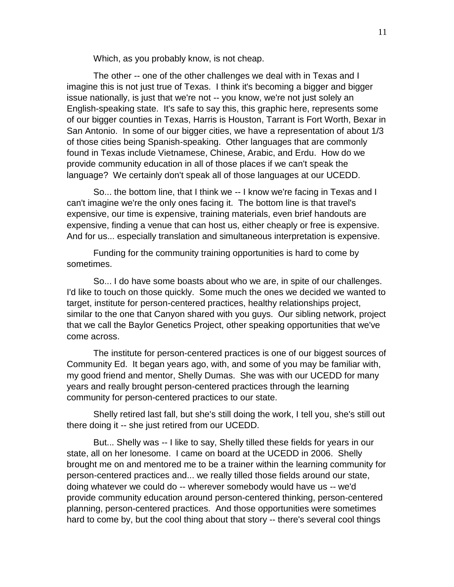Which, as you probably know, is not cheap.

The other -- one of the other challenges we deal with in Texas and I imagine this is not just true of Texas. I think it's becoming a bigger and bigger issue nationally, is just that we're not -- you know, we're not just solely an English-speaking state. It's safe to say this, this graphic here, represents some of our bigger counties in Texas, Harris is Houston, Tarrant is Fort Worth, Bexar in San Antonio. In some of our bigger cities, we have a representation of about 1/3 of those cities being Spanish-speaking. Other languages that are commonly found in Texas include Vietnamese, Chinese, Arabic, and Erdu. How do we provide community education in all of those places if we can't speak the language? We certainly don't speak all of those languages at our UCEDD.

So... the bottom line, that I think we -- I know we're facing in Texas and I can't imagine we're the only ones facing it. The bottom line is that travel's expensive, our time is expensive, training materials, even brief handouts are expensive, finding a venue that can host us, either cheaply or free is expensive. And for us... especially translation and simultaneous interpretation is expensive.

Funding for the community training opportunities is hard to come by sometimes.

So... I do have some boasts about who we are, in spite of our challenges. I'd like to touch on those quickly. Some much the ones we decided we wanted to target, institute for person-centered practices, healthy relationships project, similar to the one that Canyon shared with you guys. Our sibling network, project that we call the Baylor Genetics Project, other speaking opportunities that we've come across.

The institute for person-centered practices is one of our biggest sources of Community Ed. It began years ago, with, and some of you may be familiar with, my good friend and mentor, Shelly Dumas. She was with our UCEDD for many years and really brought person-centered practices through the learning community for person-centered practices to our state.

Shelly retired last fall, but she's still doing the work, I tell you, she's still out there doing it -- she just retired from our UCEDD.

But... Shelly was -- I like to say, Shelly tilled these fields for years in our state, all on her lonesome. I came on board at the UCEDD in 2006. Shelly brought me on and mentored me to be a trainer within the learning community for person-centered practices and... we really tilled those fields around our state, doing whatever we could do -- wherever somebody would have us -- we'd provide community education around person-centered thinking, person-centered planning, person-centered practices. And those opportunities were sometimes hard to come by, but the cool thing about that story -- there's several cool things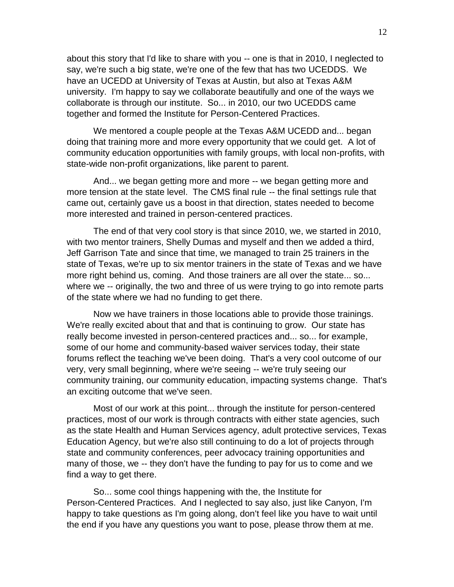about this story that I'd like to share with you -- one is that in 2010, I neglected to say, we're such a big state, we're one of the few that has two UCEDDS. We have an UCEDD at University of Texas at Austin, but also at Texas A&M university. I'm happy to say we collaborate beautifully and one of the ways we collaborate is through our institute. So... in 2010, our two UCEDDS came together and formed the Institute for Person-Centered Practices.

We mentored a couple people at the Texas A&M UCEDD and... began doing that training more and more every opportunity that we could get. A lot of community education opportunities with family groups, with local non-profits, with state-wide non-profit organizations, like parent to parent.

And... we began getting more and more -- we began getting more and more tension at the state level. The CMS final rule -- the final settings rule that came out, certainly gave us a boost in that direction, states needed to become more interested and trained in person-centered practices.

The end of that very cool story is that since 2010, we, we started in 2010, with two mentor trainers, Shelly Dumas and myself and then we added a third, Jeff Garrison Tate and since that time, we managed to train 25 trainers in the state of Texas, we're up to six mentor trainers in the state of Texas and we have more right behind us, coming. And those trainers are all over the state... so... where we -- originally, the two and three of us were trying to go into remote parts of the state where we had no funding to get there.

Now we have trainers in those locations able to provide those trainings. We're really excited about that and that is continuing to grow. Our state has really become invested in person-centered practices and... so... for example, some of our home and community-based waiver services today, their state forums reflect the teaching we've been doing. That's a very cool outcome of our very, very small beginning, where we're seeing -- we're truly seeing our community training, our community education, impacting systems change. That's an exciting outcome that we've seen.

Most of our work at this point... through the institute for person-centered practices, most of our work is through contracts with either state agencies, such as the state Health and Human Services agency, adult protective services, Texas Education Agency, but we're also still continuing to do a lot of projects through state and community conferences, peer advocacy training opportunities and many of those, we -- they don't have the funding to pay for us to come and we find a way to get there.

So... some cool things happening with the, the Institute for Person-Centered Practices. And I neglected to say also, just like Canyon, I'm happy to take questions as I'm going along, don't feel like you have to wait until the end if you have any questions you want to pose, please throw them at me.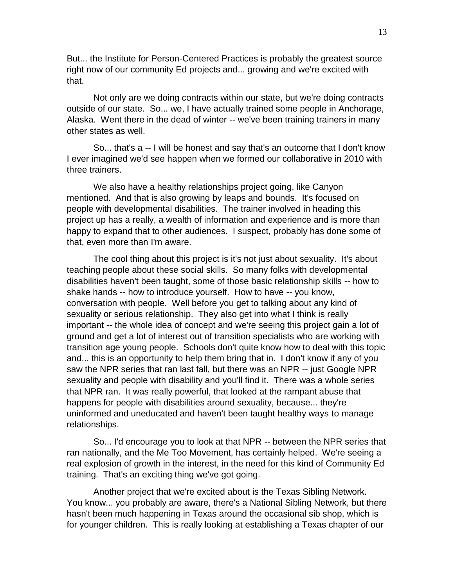But... the Institute for Person-Centered Practices is probably the greatest source right now of our community Ed projects and... growing and we're excited with that.

Not only are we doing contracts within our state, but we're doing contracts outside of our state. So... we, I have actually trained some people in Anchorage, Alaska. Went there in the dead of winter -- we've been training trainers in many other states as well.

So... that's a -- I will be honest and say that's an outcome that I don't know I ever imagined we'd see happen when we formed our collaborative in 2010 with three trainers.

We also have a healthy relationships project going, like Canyon mentioned. And that is also growing by leaps and bounds. It's focused on people with developmental disabilities. The trainer involved in heading this project up has a really, a wealth of information and experience and is more than happy to expand that to other audiences. I suspect, probably has done some of that, even more than I'm aware.

The cool thing about this project is it's not just about sexuality. It's about teaching people about these social skills. So many folks with developmental disabilities haven't been taught, some of those basic relationship skills -- how to shake hands -- how to introduce yourself. How to have -- you know, conversation with people. Well before you get to talking about any kind of sexuality or serious relationship. They also get into what I think is really important -- the whole idea of concept and we're seeing this project gain a lot of ground and get a lot of interest out of transition specialists who are working with transition age young people. Schools don't quite know how to deal with this topic and... this is an opportunity to help them bring that in. I don't know if any of you saw the NPR series that ran last fall, but there was an NPR -- just Google NPR sexuality and people with disability and you'll find it. There was a whole series that NPR ran. It was really powerful, that looked at the rampant abuse that happens for people with disabilities around sexuality, because... they're uninformed and uneducated and haven't been taught healthy ways to manage relationships.

So... I'd encourage you to look at that NPR -- between the NPR series that ran nationally, and the Me Too Movement, has certainly helped. We're seeing a real explosion of growth in the interest, in the need for this kind of Community Ed training. That's an exciting thing we've got going.

Another project that we're excited about is the Texas Sibling Network. You know... you probably are aware, there's a National Sibling Network, but there hasn't been much happening in Texas around the occasional sib shop, which is for younger children. This is really looking at establishing a Texas chapter of our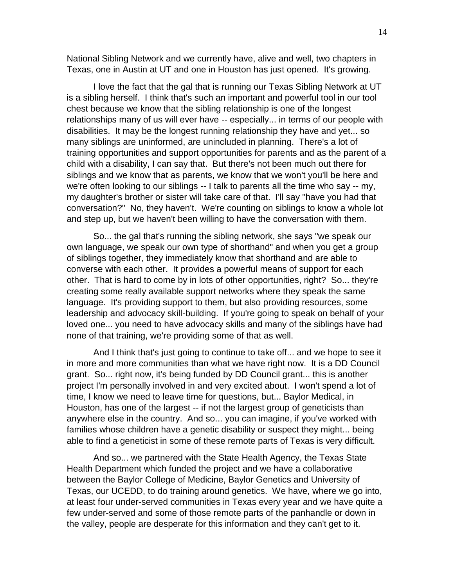National Sibling Network and we currently have, alive and well, two chapters in Texas, one in Austin at UT and one in Houston has just opened. It's growing.

I love the fact that the gal that is running our Texas Sibling Network at UT is a sibling herself. I think that's such an important and powerful tool in our tool chest because we know that the sibling relationship is one of the longest relationships many of us will ever have -- especially... in terms of our people with disabilities. It may be the longest running relationship they have and yet... so many siblings are uninformed, are unincluded in planning. There's a lot of training opportunities and support opportunities for parents and as the parent of a child with a disability, I can say that. But there's not been much out there for siblings and we know that as parents, we know that we won't you'll be here and we're often looking to our siblings -- I talk to parents all the time who say -- my, my daughter's brother or sister will take care of that. I'll say "have you had that conversation?" No, they haven't. We're counting on siblings to know a whole lot and step up, but we haven't been willing to have the conversation with them.

So... the gal that's running the sibling network, she says "we speak our own language, we speak our own type of shorthand" and when you get a group of siblings together, they immediately know that shorthand and are able to converse with each other. It provides a powerful means of support for each other. That is hard to come by in lots of other opportunities, right? So... they're creating some really available support networks where they speak the same language. It's providing support to them, but also providing resources, some leadership and advocacy skill-building. If you're going to speak on behalf of your loved one... you need to have advocacy skills and many of the siblings have had none of that training, we're providing some of that as well.

And I think that's just going to continue to take off... and we hope to see it in more and more communities than what we have right now. It is a DD Council grant. So... right now, it's being funded by DD Council grant... this is another project I'm personally involved in and very excited about. I won't spend a lot of time, I know we need to leave time for questions, but... Baylor Medical, in Houston, has one of the largest -- if not the largest group of geneticists than anywhere else in the country. And so... you can imagine, if you've worked with families whose children have a genetic disability or suspect they might... being able to find a geneticist in some of these remote parts of Texas is very difficult.

And so... we partnered with the State Health Agency, the Texas State Health Department which funded the project and we have a collaborative between the Baylor College of Medicine, Baylor Genetics and University of Texas, our UCEDD, to do training around genetics. We have, where we go into, at least four under-served communities in Texas every year and we have quite a few under-served and some of those remote parts of the panhandle or down in the valley, people are desperate for this information and they can't get to it.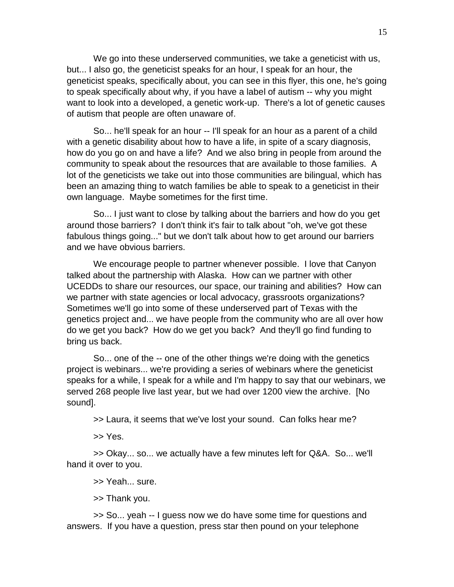We go into these underserved communities, we take a geneticist with us, but... I also go, the geneticist speaks for an hour, I speak for an hour, the geneticist speaks, specifically about, you can see in this flyer, this one, he's going to speak specifically about why, if you have a label of autism -- why you might want to look into a developed, a genetic work-up. There's a lot of genetic causes of autism that people are often unaware of.

So... he'll speak for an hour -- I'll speak for an hour as a parent of a child with a genetic disability about how to have a life, in spite of a scary diagnosis, how do you go on and have a life? And we also bring in people from around the community to speak about the resources that are available to those families. A lot of the geneticists we take out into those communities are bilingual, which has been an amazing thing to watch families be able to speak to a geneticist in their own language. Maybe sometimes for the first time.

So... I just want to close by talking about the barriers and how do you get around those barriers? I don't think it's fair to talk about "oh, we've got these fabulous things going..." but we don't talk about how to get around our barriers and we have obvious barriers.

We encourage people to partner whenever possible. I love that Canyon talked about the partnership with Alaska. How can we partner with other UCEDDs to share our resources, our space, our training and abilities? How can we partner with state agencies or local advocacy, grassroots organizations? Sometimes we'll go into some of these underserved part of Texas with the genetics project and... we have people from the community who are all over how do we get you back? How do we get you back? And they'll go find funding to bring us back.

So... one of the -- one of the other things we're doing with the genetics project is webinars... we're providing a series of webinars where the geneticist speaks for a while, I speak for a while and I'm happy to say that our webinars, we served 268 people live last year, but we had over 1200 view the archive. [No sound].

>> Laura, it seems that we've lost your sound. Can folks hear me?

>> Yes.

>> Okay... so... we actually have a few minutes left for Q&A. So... we'll hand it over to you.

>> Yeah... sure.

>> Thank you.

>> So... yeah -- I guess now we do have some time for questions and answers. If you have a question, press star then pound on your telephone